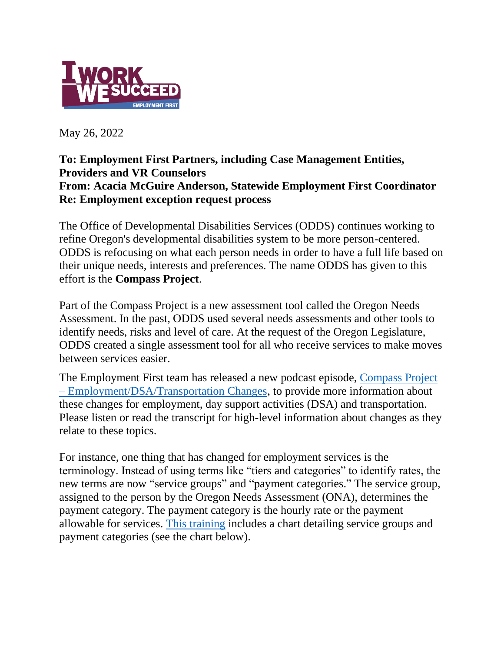

May 26, 2022

## **To: Employment First Partners, including Case Management Entities, Providers and VR Counselors From: Acacia McGuire Anderson, Statewide Employment First Coordinator Re: Employment exception request process**

The Office of Developmental Disabilities Services (ODDS) continues working to refine Oregon's developmental disabilities system to be more person-centered. ODDS is refocusing on what each person needs in order to have a full life based on their unique needs, interests and preferences. The name ODDS has given to this effort is the **Compass Project**.

Part of the Compass Project is a new assessment tool called the Oregon Needs Assessment. In the past, ODDS used several needs assessments and other tools to identify needs, risks and level of care. At the request of the Oregon Legislature, ODDS created a single assessment tool for all who receive services to make moves between services easier.

The Employment First team has released a new podcast episode, [Compass Project](https://gcc02.safelinks.protection.outlook.com/?url=https%3A%2F%2Fblubrry.com%2Foregondhs%2F84535854%2Fepisode-44-compass-project-employment-dsa-transportation-changes%2F&data=05%7C01%7CLisa.M.Catto%40dhsoha.state.or.us%7C9d5bc4ef98754b78a09f08da3f24b2d9%7C658e63e88d39499c8f4813adc9452f4c%7C0%7C0%7C637891724099912974%7CUnknown%7CTWFpbGZsb3d8eyJWIjoiMC4wLjAwMDAiLCJQIjoiV2luMzIiLCJBTiI6Ik1haWwiLCJXVCI6Mn0%3D%7C3000%7C%7C%7C&sdata=NyaDj5beB8K2rtnHEujzrHGemtlUXM4d%2FC%2BmGbenJE8%3D&reserved=0)  – [Employment/DSA/Transportation Changes,](https://gcc02.safelinks.protection.outlook.com/?url=https%3A%2F%2Fblubrry.com%2Foregondhs%2F84535854%2Fepisode-44-compass-project-employment-dsa-transportation-changes%2F&data=05%7C01%7CLisa.M.Catto%40dhsoha.state.or.us%7C9d5bc4ef98754b78a09f08da3f24b2d9%7C658e63e88d39499c8f4813adc9452f4c%7C0%7C0%7C637891724099912974%7CUnknown%7CTWFpbGZsb3d8eyJWIjoiMC4wLjAwMDAiLCJQIjoiV2luMzIiLCJBTiI6Ik1haWwiLCJXVCI6Mn0%3D%7C3000%7C%7C%7C&sdata=NyaDj5beB8K2rtnHEujzrHGemtlUXM4d%2FC%2BmGbenJE8%3D&reserved=0) to provide more information about these changes for employment, day support activities (DSA) and transportation. Please listen or read the transcript for high-level information about changes as they relate to these topics.

For instance, one thing that has changed for employment services is the terminology. Instead of using terms like "tiers and categories" to identify rates, the new terms are now "service groups" and "payment categories." The service group, assigned to the person by the Oregon Needs Assessment (ONA), determines the payment category. The payment category is the hourly rate or the payment allowable for services. [This training](https://wd5.myworkday.com/oregon/learning/course/2c6449f80b620100c71013a115fc0000?record=593f03fedce20100ccca0022b1890001&type=9882927d138b100019b928e75843018d) includes a chart detailing service groups and payment categories (see the chart below).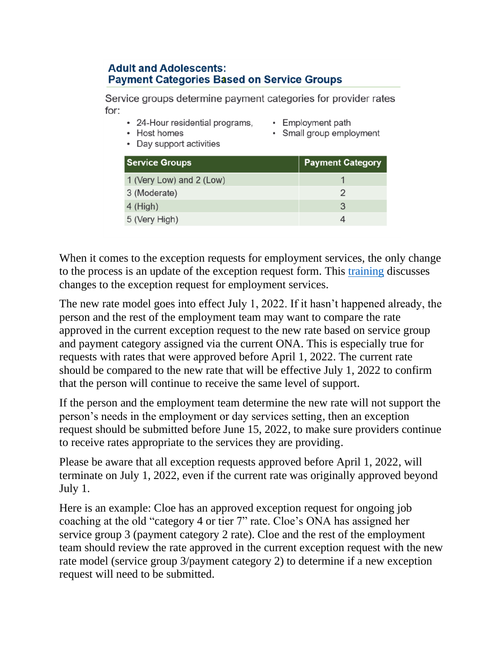| <b>Adult and Adolescents:</b><br><b>Payment Categories Based on Service Groups</b> |                                                                                                                                                                                              |                         |
|------------------------------------------------------------------------------------|----------------------------------------------------------------------------------------------------------------------------------------------------------------------------------------------|-------------------------|
| for:                                                                               | Service groups determine payment categories for provider rates<br>• 24-Hour residential programs,<br>• Employment path<br>• Host homes<br>• Small group employment<br>Day support activities |                         |
|                                                                                    | <b>Service Groups</b>                                                                                                                                                                        | <b>Payment Category</b> |
|                                                                                    | 1 (Very Low) and 2 (Low)                                                                                                                                                                     | 1                       |
|                                                                                    | 3 (Moderate)                                                                                                                                                                                 | $\overline{2}$          |
|                                                                                    | 4 (High)                                                                                                                                                                                     | 3                       |
|                                                                                    | 5 (Very High)                                                                                                                                                                                | 4                       |
|                                                                                    |                                                                                                                                                                                              |                         |

When it comes to the exception requests for employment services, the only change to the process is an update of the exception request form. This [training](https://wd5.myworkday.com/oregon/learning/course/2c6449f80b620100c71013a115fc0000?record=593f03fedce20100ccca0022b1890001&type=9882927d138b100019b928e75843018d) discusses changes to the exception request for employment services.

The new rate model goes into effect July 1, 2022. If it hasn't happened already, the person and the rest of the employment team may want to compare the rate approved in the current exception request to the new rate based on service group and payment category assigned via the current ONA. This is especially true for requests with rates that were approved before April 1, 2022. The current rate should be compared to the new rate that will be effective July 1, 2022 to confirm that the person will continue to receive the same level of support.

If the person and the employment team determine the new rate will not support the person's needs in the employment or day services setting, then an exception request should be submitted before June 15, 2022, to make sure providers continue to receive rates appropriate to the services they are providing.

Please be aware that all exception requests approved before April 1, 2022, will terminate on July 1, 2022, even if the current rate was originally approved beyond July 1.

Here is an example: Cloe has an approved exception request for ongoing job coaching at the old "category 4 or tier 7" rate. Cloe's ONA has assigned her service group 3 (payment category 2 rate). Cloe and the rest of the employment team should review the rate approved in the current exception request with the new rate model (service group 3/payment category 2) to determine if a new exception request will need to be submitted.